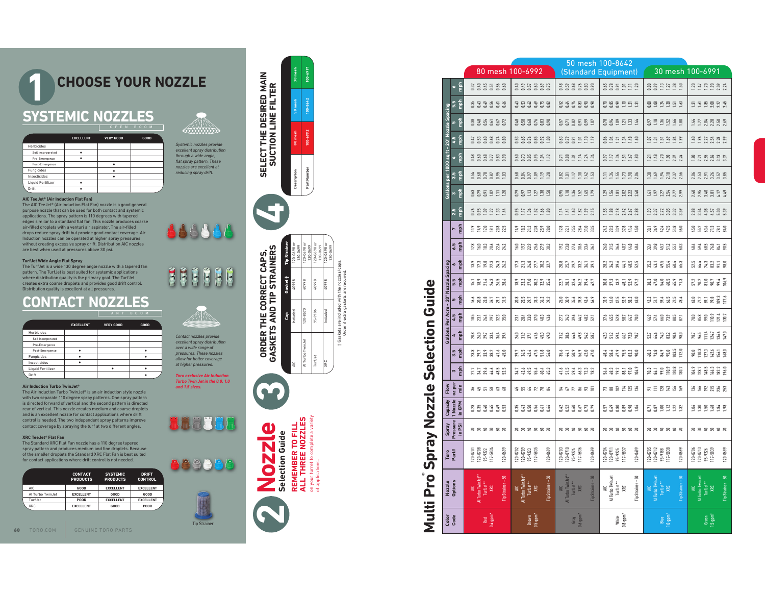### **QUICK REFERENCE CHOOSE YOUR NOZZLE** NOZZLES**SYSTEMIC NOZZLES** OPEN BOOM**1**

|                   | <b>EXCELLENT</b> | <b>VERY GOOD</b> | GOOD |
|-------------------|------------------|------------------|------|
| Herbicides        |                  |                  |      |
| Soil Incorporated |                  |                  |      |
| Pre-Emergence     |                  |                  |      |
| Post-Emergence    |                  |                  |      |
| Fungicides        |                  |                  |      |
| Insecticides      |                  |                  |      |
| Liquid Fertilizer |                  |                  |      |
| Drift             |                  |                  |      |

### **AIC TeeJet® (Air Induction Flat Fan)**

### **TurfJet Wide Angle Flat Spray**

|                   |                  |                  | ANI DUUM |
|-------------------|------------------|------------------|----------|
|                   | <b>EXCELLENT</b> | <b>VERY GOOD</b> | GOOD     |
| Herbicides        |                  |                  |          |
| Soil Incorporated |                  |                  |          |
| Pre-Emergence     |                  |                  |          |
| Post-Emergence    |                  |                  |          |
| Fungicides        |                  |                  |          |
| Insecticides      |                  |                  |          |
| Liquid Fertilizer |                  |                  |          |
| Drift             |                  |                  |          |

### **Air Induction Turbo TwinJet®**

### **XRC TeeJet® Flat Fan**











# † Gaskets are included with the nozzles/caps. Order if extra gaskets are required.

# **Spray Nozzle Selection Guide**

|                                                                                                                                                                                                           |                                                                                    |                                                              |                                       |                                                        |                                                                      |                             |                                                                                        |                                                                                        |                                                                                                | 50 mesh 100-8642                                                                       |                                                                                                                                                                                                                               |                                                                                                                                                                                                                                                                                                               |
|-----------------------------------------------------------------------------------------------------------------------------------------------------------------------------------------------------------|------------------------------------------------------------------------------------|--------------------------------------------------------------|---------------------------------------|--------------------------------------------------------|----------------------------------------------------------------------|-----------------------------|----------------------------------------------------------------------------------------|----------------------------------------------------------------------------------------|------------------------------------------------------------------------------------------------|----------------------------------------------------------------------------------------|-------------------------------------------------------------------------------------------------------------------------------------------------------------------------------------------------------------------------------|---------------------------------------------------------------------------------------------------------------------------------------------------------------------------------------------------------------------------------------------------------------------------------------------------------------|
|                                                                                                                                                                                                           |                                                                                    |                                                              | 100-6991                              |                                                        |                                                                      |                             | 80 mesh 100-6992                                                                       |                                                                                        |                                                                                                | (Standard Equipment)                                                                   | 30 mesh 100-6991                                                                                                                                                                                                              |                                                                                                                                                                                                                                                                                                               |
| <b>CHOOSE YOUR NOZZLE</b>                                                                                                                                                                                 |                                                                                    | SELECT THE DESIRED MAIN<br>SUCTION LINE FILTER               |                                       |                                                        |                                                                      |                             | <b>2335588</b>                                                                         | <b>3353355</b>                                                                         | <b>353585</b><br>353585                                                                        | <b>SSSEER</b>                                                                          | <b>BRENBE</b>                                                                                                                                                                                                                 | 235282                                                                                                                                                                                                                                                                                                        |
|                                                                                                                                                                                                           |                                                                                    |                                                              |                                       |                                                        |                                                                      | 回应                          | 533553                                                                                 | 353558                                                                                 | <b>EXERES</b>                                                                                  | <b>RESERE</b>                                                                          | 8833853                                                                                                                                                                                                                       | 5588828                                                                                                                                                                                                                                                                                                       |
| <b>SYSTEMIC NOZZLES</b><br>OPEN BOOM                                                                                                                                                                      |                                                                                    |                                                              |                                       |                                                        |                                                                      |                             | <b>8885555</b>                                                                         | <b>383585</b>                                                                          | <b>BE BE BE</b>                                                                                | <b>ESSEDES</b>                                                                         | <b>SE 3 3 3 3 8</b>                                                                                                                                                                                                           | <b>HEARRS</b>                                                                                                                                                                                                                                                                                                 |
| <b>EXCELLENT</b><br><b>VERY GOOD</b><br>GOOD<br>Herbicides                                                                                                                                                | <b>CHANNAIC</b><br>Systemic nozzles provide                                        | å.                                                           | 00-6992                               |                                                        |                                                                      |                             | 12<br>1358 x 186<br>116 10 10 116                                                      | <b>6556626</b><br>666668                                                               | <b>SASEES</b>                                                                                  | <b>SADASS</b>                                                                          | 555338                                                                                                                                                                                                                        | <b>EXERE</b>                                                                                                                                                                                                                                                                                                  |
| Soil Incorporated<br>$\bullet$<br>Pre-Emergence<br>$\bullet$<br>Post-Emergence<br>$\bullet$                                                                                                               | excellent spray distribution<br>through a wide angle,<br>flat spray pattern. These |                                                              |                                       |                                                        |                                                                      | - 51                        |                                                                                        | <b>SSSSE2</b>                                                                          | 582144                                                                                         | 55353                                                                                  | 535553                                                                                                                                                                                                                        | 1.81<br>2.21.84<br>2.31.33                                                                                                                                                                                                                                                                                    |
| Fungicides<br>$\bullet$<br>Insecticides<br>$\bullet$<br>Liquid Fertilizer<br>$\bullet$                                                                                                                    | nozzles are excellent at<br>reducing spray drift.                                  | Description                                                  | Part Number                           |                                                        |                                                                      |                             | <b>15.85551</b><br>15.85551                                                            | <b>3355528</b>                                                                         | <b>ASSERS</b>                                                                                  | 535588                                                                                 | <b>ESERE</b>                                                                                                                                                                                                                  | 255255                                                                                                                                                                                                                                                                                                        |
| Drift<br>$\bullet$<br>AIC TeeJet <sup>®</sup> (Air Induction Flat Fan)                                                                                                                                    |                                                                                    |                                                              |                                       |                                                        |                                                                      |                             | 385959                                                                                 | <b>SSE 286</b>                                                                         | <b>SEBREE</b>                                                                                  | 255823                                                                                 | 555558                                                                                                                                                                                                                        | 2533513                                                                                                                                                                                                                                                                                                       |
| The AIC TeeJet® (Air Induction Flat Fan) nozzle is a good general<br>purpose nozzle that can be used for both contact and systemic<br>applications. The spray pattern is 110 degrees with tapered         |                                                                                    | 9                                                            |                                       |                                                        |                                                                      | $\frac{5}{2}$               | 5568834                                                                                |                                                                                        | 199855                                                                                         | 1.58<br>1.88<br>2.13<br>2.58<br>2.88                                                   | <b>2355335</b>                                                                                                                                                                                                                |                                                                                                                                                                                                                                                                                                               |
| edges similar to a standard flat fan. This nozzle produces coarse<br>air-filled droplets with a venturi air aspirator. The air-filled<br>drops reduce spray drift but provide good contact coverage. Air  | 888888                                                                             |                                                              |                                       |                                                        |                                                                      |                             | <b>E2EE88</b>                                                                          | 1222828                                                                                | ENESES                                                                                         | 333345                                                                                 | <b>MARS</b> 2019                                                                                                                                                                                                              | 5235783                                                                                                                                                                                                                                                                                                       |
| nduction nozzles can be operated at higher spray pressures<br>without creating excessive spray drift. Distribution AIC nozzles<br>are best when used at pressures above 30 psi.                           |                                                                                    |                                                              |                                       |                                                        |                                                                      | 동등                          | 128242<br>1282242                                                                      |                                                                                        | <b>2835335</b>                                                                                 | 253434                                                                                 | 3892222                                                                                                                                                                                                                       | 3332355                                                                                                                                                                                                                                                                                                       |
| TurfJet Wide Angle Flat Spray<br>The TurfJet is a wide 130 degree angle nozzle with a tapered fan<br>pattern. The TurfJet is best suited for systemic applications                                        |                                                                                    | <b>ORDER THE CORRECT CAPS,<br/>GASKETS AND TIP STRAINERS</b> |                                       | $\begin{array}{c}\n 2 \\  2 \\  1 \\  2\n \end{array}$ |                                                                      |                             | <b>22223225</b>                                                                        | <b>E24522</b><br>E24522                                                                | <b>2552555</b>                                                                                 | 2334 355<br>2354 365                                                                   | 5.2<br>5.5 5.4 4 5.5                                                                                                                                                                                                          | 2432758                                                                                                                                                                                                                                                                                                       |
| where distribution quality is the primary goal. The TurfJet<br>creates extra coarse droplets and provides good drift control.<br>Distribution quality is excellent at all pressures.                      | H<br>$\tilde{\mathbf{R}}$<br>ÉĚ<br>E<br>É<br>$\mathbf{F}$                          | 86607                                                        | 40998<br>40998                        | 40998                                                  | nozzles/<br>required.                                                |                             |                                                                                        | <b>BRRBRS</b>                                                                          | 2133352                                                                                        | 3 3 3 4 5 6 7 7                                                                        | <b>BRISSE</b>                                                                                                                                                                                                                 | $\frac{22}{56}$ $\frac{22}{56}$ $\frac{22}{56}$ $\frac{23}{56}$ $\frac{24}{56}$                                                                                                                                                                                                                               |
| <b>CONTACT NOZZLES</b>                                                                                                                                                                                    |                                                                                    |                                                              |                                       |                                                        | Guide<br>skets are included with the<br>Order if extra gaskets are i | fin<br><u>ຊ</u> ື           | 16.8 22 22 315                                                                         | 20.5<br>20.57<br>20.573.42                                                             | 53 3 3 3 4 5                                                                                   | 335383                                                                                 | 353328                                                                                                                                                                                                                        |                                                                                                                                                                                                                                                                                                               |
| ANY BOOM<br><b>EXCELLENT</b><br><b>VERY GOOD</b><br>GOOD                                                                                                                                                  |                                                                                    |                                                              | 95-9186<br>120-8570                   | ncluded                                                |                                                                      | er Acr<br>$\frac{4}{4.5}$   | <b>ENAN 200</b><br><b>ENAN 200</b>                                                     | 333593                                                                                 | <b>NESERES</b>                                                                                 | 358832                                                                                 | 253855                                                                                                                                                                                                                        | 7.888224                                                                                                                                                                                                                                                                                                      |
| Herbicides<br>Soil Incorporated                                                                                                                                                                           | Contact nozzles provide<br>excellent spray distribution                            |                                                              |                                       |                                                        | $+6a$                                                                | $\mathop{\mathsf{min}}$     | 2223333                                                                                | 200233                                                                                 | 2 3 3 4 5 5 6 7                                                                                | 3235227                                                                                | 52.3<br>5443258                                                                                                                                                                                                               | $78.5$ $12.4$ $13.5$ $13.6$ $14.7$                                                                                                                                                                                                                                                                            |
| Pre-Emergence<br>$\bullet$<br>Post-Emergence<br>$\bullet$<br>$\bullet$<br>$\bullet$<br>Fungicides<br>$\bullet$                                                                                            | over a wide range of<br>pressures. These nozzles<br>allow for better coverage      |                                                              | Al Turbo <sup>1</sup><br>TurfJet      |                                                        | election                                                             | $\frac{15}{25}$             | $2.382$ $1.50$<br>23.8                                                                 | <b>2545260</b><br>25455260                                                             | <b>345335</b>                                                                                  | 3865532                                                                                | 37.3853121                                                                                                                                                                                                                    | $\begin{array}{c} 0.01 \\ 0.01 \\ 0.01 \\ 0.01 \\ 0.01 \\ 0.01 \\ 0.01 \\ 0.01 \\ 0.01 \\ 0.01 \\ 0.01 \\ 0.01 \\ 0.01 \\ 0.01 \\ 0.01 \\ 0.01 \\ 0.01 \\ 0.01 \\ 0.01 \\ 0.01 \\ 0.01 \\ 0.01 \\ 0.01 \\ 0.01 \\ 0.01 \\ 0.01 \\ 0.01 \\ 0.01 \\ 0.01 \\ 0.01 \\ 0.01 \\ 0.01 \\ 0.01 \\ 0.01 \\ 0.01 \\ 0.$ |
| Insecticides<br>Liquid Fertilizer<br>$\bullet$<br>$\bullet$<br>Drift<br>$\bullet$                                                                                                                         | at higher pressures.<br><b>Toro exclusive Air Induction</b>                        |                                                              |                                       |                                                        | Ū                                                                    |                             | 22334925                                                                               | 3353443                                                                                | 155322                                                                                         | 3837779                                                                                | $70.3$ $8.5$ $9.3$ $10.3$ $10.3$ $10.3$ $10.3$ $10.3$ $10.3$ $10.3$ $10.3$ $10.3$ $10.3$ $10.3$ $10.3$ $10.3$ $10.3$ $10.3$ $10.3$ $10.3$ $10.3$ $10.3$ $10.3$ $10.3$ $10.3$ $10.3$ $10.3$ $10.3$ $10.3$ $10.3$ $10.3$ $10.3$ | 184.9<br>128.5<br>164.3<br>164.2                                                                                                                                                                                                                                                                              |
| Air Induction Turbo TwinJet <sup>®</sup><br>The Air Induction Turbo TwinJet <sup>®</sup> is an air induction style nozzle<br>with two separate 110 degree spray patterns. One spray pattern               | Turbo Twin Jet in the 0.8, 1.0<br>and 1.5 sizes.                                   |                                                              |                                       |                                                        |                                                                      | Flow<br>oz pei<br>들         | 355838                                                                                 | 553283                                                                                 | ESERSE                                                                                         | <b>R</b> & P F B &                                                                     | <b>ADERES</b>                                                                                                                                                                                                                 | 222538                                                                                                                                                                                                                                                                                                        |
| is directed forward of vertical and the second pattern is directed<br>rear of vertical. This nozzle creates medium and coarse droplets<br>and is an excellent nozzle for contact applications where drift |                                                                                    |                                                              |                                       |                                                        |                                                                      | Capacity<br>1 Nozzle        | 883338                                                                                 | 535353                                                                                 | <b>SSSSSS</b>                                                                                  | <b>E S S S S S</b>                                                                     | 589222                                                                                                                                                                                                                        | 222342                                                                                                                                                                                                                                                                                                        |
| control is needed. The two independent spray patterns improve<br>contact coverage by spraying the turf at two different angles.                                                                           | 188388                                                                             | <b>REMEMBER TO FILL<br/>ALL THREE NOZZLES</b><br>Q           | a variety                             |                                                        | pray Nozzle                                                          | Spray<br>Pressure<br>in PSI | 889898                                                                                 | 889898                                                                                 | 889898                                                                                         | 889898                                                                                 | 889898                                                                                                                                                                                                                        | 889898                                                                                                                                                                                                                                                                                                        |
| <b>KRC TeeJet® Flat Fan</b><br>The Standard XRC Flat Fan nozzle has a 110 degree tapered<br>spray pattern and produces medium and fine droplets. Because                                                  |                                                                                    |                                                              | complete                              |                                                        |                                                                      |                             |                                                                                        |                                                                                        |                                                                                                |                                                                                        |                                                                                                                                                                                                                               |                                                                                                                                                                                                                                                                                                               |
| of the smaller droplets the Standard XRC Flat Fan is best suited<br>for contact applications where drift control is not needed.                                                                           | 888888                                                                             | 022                                                          |                                       |                                                        | <u>ທ</u>                                                             | Toro<br>Part#               | $\begin{array}{l} 120-0701 \\ 120-0708 \\ 95-9222 \\ 117-5834 \end{array}$<br>120-0699 | $\begin{array}{l} 120-0702 \\ 120-0709 \\ 95-9223 \\ 117-5835 \end{array}$<br>120-0699 | $\begin{array}{l} 120 - 0703 \\ 120 - 0710 \\ 95 - 9224 \\ 117 - 5836 \end{array}$<br>120-0699 | 120-0699<br>$\begin{array}{r} 120-0704 \\ 120-0711 \\ 95-9225 \\ 117-5837 \end{array}$ | $\begin{array}{r} 120-0705 \\ 120-0712 \\ 95-9188 \\ 117-5838 \end{array}$<br>120-0699                                                                                                                                        | $\begin{array}{r} 120 - 0706 \\ 120 - 0713 \\ 95 - 9226 \\ 117 - 5839 \end{array}$                                                                                                                                                                                                                            |
| <b>CONTACT</b><br><b>SYSTEMIC</b><br><b>DRIFT<br/>CONTROL</b><br><b>PRODUCTS</b><br><b>PRODUCTS</b>                                                                                                       |                                                                                    | <b>Selection Guide</b>                                       | on your turret to<br>of applications. |                                                        | <b>Pro</b>                                                           |                             |                                                                                        |                                                                                        | $\Xi$                                                                                          | s<br>AIC<br>Turbo TwinJet<br>TurfJet**<br>XRC                                          |                                                                                                                                                                                                                               |                                                                                                                                                                                                                                                                                                               |
| AIC<br>GOOD<br><b>EXCELLENT</b><br><b>EXCELLENT</b><br>Al Turbo TwinJet<br><b>EXCELLENT</b><br>GOOD<br>GOOD<br>POOR<br><b>EXCELLENT</b><br><b>EXCELLENT</b><br>TurfJet                                    |                                                                                    |                                                              |                                       |                                                        |                                                                      | Nozzle<br>Options           | AIC<br>Turida*<br>Turida*<br>ip Strainer                                               | AIC<br>Turbo Twin)<br>TurfJet**<br>XRC                                                 | AITurbo TwinJ<br>Turbo TwinJ<br>Turf Jet **<br>XRC<br><b>Tip Strain</b>                        | Tip Strainer<br>₹                                                                      |                                                                                                                                                                                                                               | TurfJet**<br>XRC<br>$\equiv$                                                                                                                                                                                                                                                                                  |
| XRC<br><b>EXCELLENT</b><br>GOOD<br>POOR                                                                                                                                                                   |                                                                                    |                                                              |                                       |                                                        | Multi                                                                | Color<br>Code               | Red<br>14 gpm                                                                          | Brown<br>1.5 gpm*                                                                      | Gray<br>1.6 gpm                                                                                | White<br>L8 gpm*                                                                       | Blue<br>.0 gpm'                                                                                                                                                                                                               | Green<br>I.5 gpm*                                                                                                                                                                                                                                                                                             |
| TORO.COM<br><b>GENUINE TORO PARTS</b>                                                                                                                                                                     | <b>Tip Strainer</b>                                                                |                                                              |                                       |                                                        |                                                                      |                             |                                                                                        |                                                                                        |                                                                                                |                                                                                        |                                                                                                                                                                                                                               |                                                                                                                                                                                                                                                                                                               |